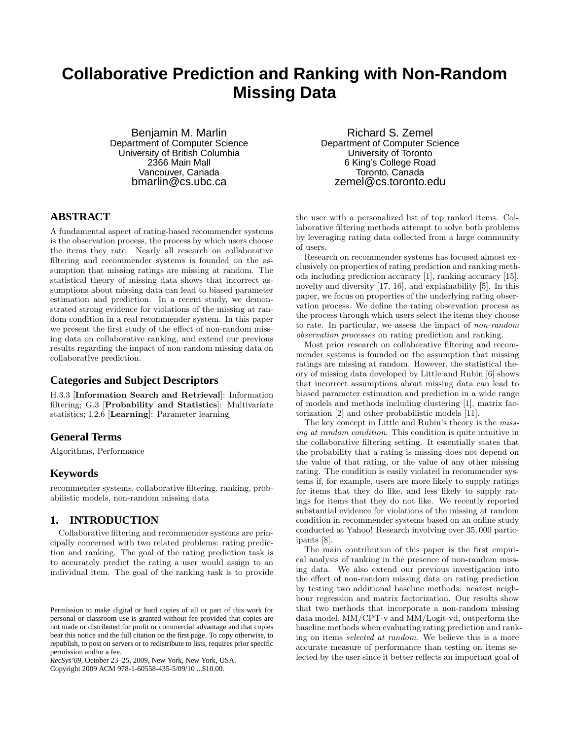# **Collaborative Prediction and Ranking with Non-Random Missing Data**

Benjamin M. Marlin Department of Computer Science University of British Columbia 2366 Main Mall Vancouver, Canada bmarlin@cs.ubc.ca

## **ABSTRACT**

A fundamental aspect of rating-based recommender systems is the observation process, the process by which users choose the items they rate. Nearly all research on collaborative filtering and recommender systems is founded on the assumption that missing ratings are missing at random. The statistical theory of missing data shows that incorrect assumptions about missing data can lead to biased parameter estimation and prediction. In a recent study, we demonstrated strong evidence for violations of the missing at random condition in a real recommender system. In this paper we present the first study of the effect of non-random missing data on collaborative ranking, and extend our previous results regarding the impact of non-random missing data on collaborative prediction.

#### **Categories and Subject Descriptors**

H.3.3 [Information Search and Retrieval]: Information filtering; G.3 [Probability and Statistics]: Multivariate statistics; I.2.6 [Learning]: Parameter learning

#### **General Terms**

Algorithms, Performance

#### **Keywords**

recommender systems, collaborative filtering, ranking, probabilistic models, non-random missing data

## **1. INTRODUCTION**

Collaborative filtering and recommender systems are principally concerned with two related problems: rating prediction and ranking. The goal of the rating prediction task is to accurately predict the rating a user would assign to an individual item. The goal of the ranking task is to provide

*RecSys'09,* October 23–25, 2009, New York, New York, USA.

Copyright 2009 ACM 978-1-60558-435-5/09/10 ...\$10.00.

Richard S. Zemel Department of Computer Science University of Toronto 6 King's College Road Toronto, Canada zemel@cs.toronto.edu

the user with a personalized list of top ranked items. Collaborative filtering methods attempt to solve both problems by leveraging rating data collected from a large community of users.

Research on recommender systems has focused almost exclusively on properties of rating prediction and ranking methods including prediction accuracy [1], ranking accuracy [15], novelty and diversity [17, 16], and explainability [5]. In this paper, we focus on properties of the underlying rating observation process. We define the rating observation process as the process through which users select the items they choose to rate. In particular, we assess the impact of non-random observation processes on rating prediction and ranking.

Most prior research on collaborative filtering and recommender systems is founded on the assumption that missing ratings are missing at random. However, the statistical theory of missing data developed by Little and Rubin [6] shows that incorrect assumptions about missing data can lead to biased parameter estimation and prediction in a wide range of models and methods including clustering [1], matrix factorization [2] and other probabilistic models [11].

The key concept in Little and Rubin's theory is the missing at random condition. This condition is quite intuitive in the collaborative filtering setting. It essentially states that the probability that a rating is missing does not depend on the value of that rating, or the value of any other missing rating. The condition is easily violated in recommender systems if, for example, users are more likely to supply ratings for items that they do like, and less likely to supply ratings for items that they do not like. We recently reported substantial evidence for violations of the missing at random condition in recommender systems based on an online study conducted at Yahoo! Research involving over 35, 000 participants [8].

The main contribution of this paper is the first empirical analysis of ranking in the presence of non-random missing data. We also extend our previous investigation into the effect of non-random missing data on rating prediction by testing two additional baseline methods: nearest neighbour regression and matrix factorization. Our results show that two methods that incorporate a non-random missing data model, MM/CPT-v and MM/Logit-vd, outperform the baseline methods when evaluating rating prediction and ranking on items selected at random. We believe this is a more accurate measure of performance than testing on items selected by the user since it better reflects an important goal of

Permission to make digital or hard copies of all or part of this work for personal or classroom use is granted without fee provided that copies are not made or distributed for profit or commercial advantage and that copies bear this notice and the full citation on the first page. To copy otherwise, to republish, to post on servers or to redistribute to lists, requires prior specific permission and/or a fee.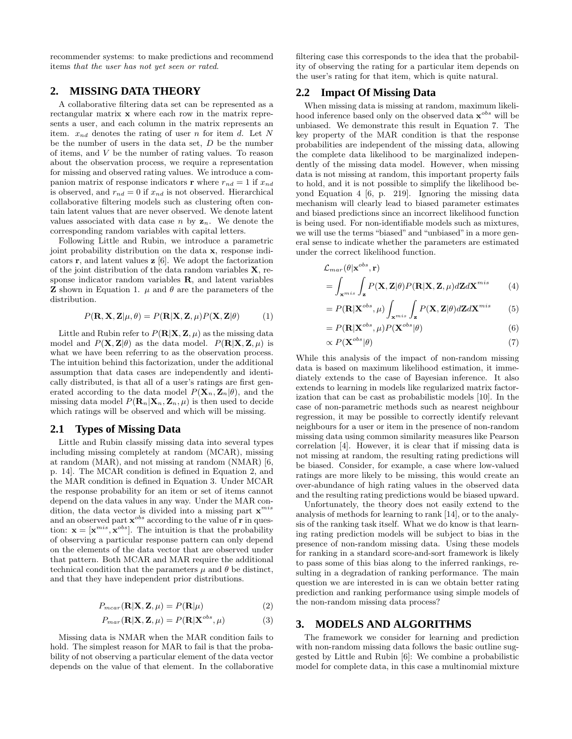recommender systems: to make predictions and recommend items that the user has not yet seen or rated.

## **2. MISSING DATA THEORY**

A collaborative filtering data set can be represented as a rectangular matrix x where each row in the matrix represents a user, and each column in the matrix represents an item.  $x_{nd}$  denotes the rating of user n for item d. Let N be the number of users in the data set,  $D$  be the number of items, and V be the number of rating values. To reason about the observation process, we require a representation for missing and observed rating values. We introduce a companion matrix of response indicators **r** where  $r_{nd} = 1$  if  $x_{nd}$ is observed, and  $r_{nd} = 0$  if  $x_{nd}$  is not observed. Hierarchical collaborative filtering models such as clustering often contain latent values that are never observed. We denote latent values associated with data case n by  $z_n$ . We denote the corresponding random variables with capital letters.

Following Little and Rubin, we introduce a parametric joint probability distribution on the data x, response indicators  $\mathbf{r}$ , and latent values  $\mathbf{z}$  [6]. We adopt the factorization of the joint distribution of the data random variables  $X$ , response indicator random variables R, and latent variables **Z** shown in Equation 1.  $\mu$  and  $\theta$  are the parameters of the distribution.

$$
P(\mathbf{R}, \mathbf{X}, \mathbf{Z} | \mu, \theta) = P(\mathbf{R} | \mathbf{X}, \mathbf{Z}, \mu) P(\mathbf{X}, \mathbf{Z} | \theta)
$$
 (1)

Little and Rubin refer to  $P(\mathbf{R}|\mathbf{X}, \mathbf{Z}, \mu)$  as the missing data model and  $P(\mathbf{X}, \mathbf{Z} | \theta)$  as the data model.  $P(\mathbf{R} | \mathbf{X}, \mathbf{Z}, \mu)$  is what we have been referring to as the observation process. The intuition behind this factorization, under the additional assumption that data cases are independently and identically distributed, is that all of a user's ratings are first generated according to the data model  $P(\mathbf{X}_n, \mathbf{Z}_n | \theta)$ , and the missing data model  $P(\mathbf{R}_n|\mathbf{X}_n, \mathbf{Z}_n, \mu)$  is then used to decide which ratings will be observed and which will be missing.

### **2.1 Types of Missing Data**

Little and Rubin classify missing data into several types including missing completely at random (MCAR), missing at random (MAR), and not missing at random (NMAR) [6, p. 14]. The MCAR condition is defined in Equation 2, and the MAR condition is defined in Equation 3. Under MCAR the response probability for an item or set of items cannot depend on the data values in any way. Under the MAR condition, the data vector is divided into a missing part  $\mathbf{x}^{mis}$ and an observed part  $\mathbf{x}^{obs}$  according to the value of  $\mathbf{r}$  in question:  $\mathbf{x} = [\mathbf{x}^{mis}, \mathbf{x}^{obs}]$ . The intuition is that the probability of observing a particular response pattern can only depend on the elements of the data vector that are observed under that pattern. Both MCAR and MAR require the additional technical condition that the parameters  $\mu$  and  $\theta$  be distinct, and that they have independent prior distributions.

$$
P_{max}(\mathbf{R}|\mathbf{X}, \mathbf{Z}, \mu) = P(\mathbf{R}|\mu)
$$
\n(2)

$$
P_{mar}(\mathbf{R}|\mathbf{X}, \mathbf{Z}, \mu) = P(\mathbf{R}|\mathbf{X}^{obs}, \mu)
$$
 (3)

Missing data is NMAR when the MAR condition fails to hold. The simplest reason for MAR to fail is that the probability of not observing a particular element of the data vector depends on the value of that element. In the collaborative filtering case this corresponds to the idea that the probability of observing the rating for a particular item depends on the user's rating for that item, which is quite natural.

#### **2.2 Impact Of Missing Data**

When missing data is missing at random, maximum likelihood inference based only on the observed data  $\mathbf{x}^{obs}$  will be unbiased. We demonstrate this result in Equation 7. The key property of the MAR condition is that the response probabilities are independent of the missing data, allowing the complete data likelihood to be marginalized independently of the missing data model. However, when missing data is not missing at random, this important property fails to hold, and it is not possible to simplify the likelihood beyond Equation 4 [6, p. 219]. Ignoring the missing data mechanism will clearly lead to biased parameter estimates and biased predictions since an incorrect likelihood function is being used. For non-identifiable models such as mixtures, we will use the terms "biased" and "unbiased" in a more general sense to indicate whether the parameters are estimated under the correct likelihood function.

$$
\mathcal{L}_{mar}(\theta|\mathbf{x}^{obs}, \mathbf{r})
$$
  
=  $\int_{\mathbf{x}^{mis}} \int_{\mathbf{z}} P(\mathbf{X}, \mathbf{Z}|\theta) P(\mathbf{R}|\mathbf{X}, \mathbf{Z}, \mu) d\mathbf{Z} d\mathbf{X}^{mis}$  (4)

$$
= P(\mathbf{R}|\mathbf{X}^{obs}, \mu) \int_{\mathbf{x}^{mis}} \int_{\mathbf{z}} P(\mathbf{X}, \mathbf{Z}|\theta) d\mathbf{Z} d\mathbf{X}^{mis}
$$
 (5)

$$
= P(\mathbf{R}|\mathbf{X}^{obs}, \mu) P(\mathbf{X}^{obs}|\theta)
$$
\n(6)

$$
\propto P(\mathbf{X}^{obs}|\theta) \tag{7}
$$

While this analysis of the impact of non-random missing data is based on maximum likelihood estimation, it immediately extends to the case of Bayesian inference. It also extends to learning in models like regularized matrix factorization that can be cast as probabilistic models [10]. In the case of non-parametric methods such as nearest neighbour regression, it may be possible to correctly identify relevant neighbours for a user or item in the presence of non-random missing data using common similarity measures like Pearson correlation [4]. However, it is clear that if missing data is not missing at random, the resulting rating predictions will be biased. Consider, for example, a case where low-valued ratings are more likely to be missing, this would create an over-abundance of high rating values in the observed data and the resulting rating predictions would be biased upward.

Unfortunately, the theory does not easily extend to the analysis of methods for learning to rank [14], or to the analysis of the ranking task itself. What we do know is that learning rating prediction models will be subject to bias in the presence of non-random missing data. Using these models for ranking in a standard score-and-sort framework is likely to pass some of this bias along to the inferred rankings, resulting in a degradation of ranking performance. The main question we are interested in is can we obtain better rating prediction and ranking performance using simple models of the non-random missing data process?

## **3. MODELS AND ALGORITHMS**

The framework we consider for learning and prediction with non-random missing data follows the basic outline suggested by Little and Rubin [6]: We combine a probabilistic model for complete data, in this case a multinomial mixture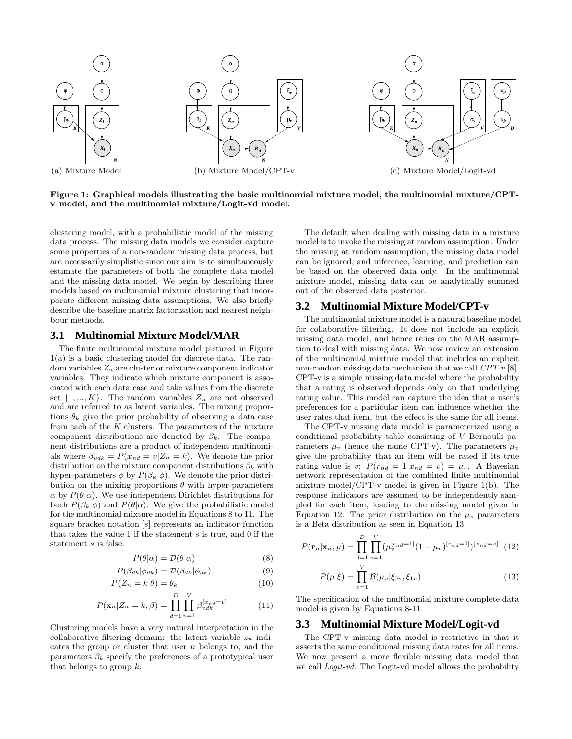

Figure 1: Graphical models illustrating the basic multinomial mixture model, the multinomial mixture/CPTv model, and the multinomial mixture/Logit-vd model.

clustering model, with a probabilistic model of the missing data process. The missing data models we consider capture some properties of a non-random missing data process, but are necessarily simplistic since our aim is to simultaneously estimate the parameters of both the complete data model and the missing data model. We begin by describing three models based on multinomial mixture clustering that incorporate different missing data assumptions. We also briefly describe the baseline matrix factorization and nearest neighbour methods.

#### **3.1 Multinomial Mixture Model/MAR**

The finite multinomial mixture model pictured in Figure 1(a) is a basic clustering model for discrete data. The random variables  $Z_n$  are cluster or mixture component indicator variables. They indicate which mixture component is associated with each data case and take values from the discrete set  $\{1, ..., K\}$ . The random variables  $Z_n$  are not observed and are referred to as latent variables. The mixing proportions  $\theta_k$  give the prior probability of observing a data case from each of the  $K$  clusters. The parameters of the mixture component distributions are denoted by  $\beta_k$ . The component distributions are a product of independent multinomials where  $\beta_{vdk} = P(x_{nd} = v | Z_n = k)$ . We denote the prior distribution on the mixture component distributions  $\beta_k$  with hyper-parameters  $\phi$  by  $P(\beta_k|\phi)$ . We denote the prior distribution on the mixing proportions  $\theta$  with hyper-parameters  $\alpha$  by  $P(\theta|\alpha)$ . We use independent Dirichlet distributions for both  $P(\beta_k|\phi)$  and  $P(\theta|\alpha)$ . We give the probabilistic model for the multinomial mixture model in Equations 8 to 11. The square bracket notation [s] represents an indicator function that takes the value 1 if the statement  $s$  is true, and 0 if the statement s is false.

$$
P(\theta|\alpha) = \mathcal{D}(\theta|\alpha) \tag{8}
$$

$$
P(\beta_{dk}|\phi_{dk}) = \mathcal{D}(\beta_{dk}|\phi_{dk})
$$
\n(9)

$$
P(Z_n = k | \theta) = \theta_k \tag{10}
$$

$$
P(\mathbf{x}_n | Z_n = k, \beta) = \prod_{d=1}^{D} \prod_{v=1}^{V} \beta_{vdk}^{[x_{nd}=v]}
$$
(11)

Clustering models have a very natural interpretation in the collaborative filtering domain: the latent variable  $z_n$  indicates the group or cluster that user  $n$  belongs to, and the parameters  $\beta_k$  specify the preferences of a prototypical user that belongs to group  $k$ .

The default when dealing with missing data in a mixture model is to invoke the missing at random assumption. Under the missing at random assumption, the missing data model can be ignored, and inference, learning, and prediction can be based on the observed data only. In the multinomial mixture model, missing data can be analytically summed out of the observed data posterior.

#### **3.2 Multinomial Mixture Model/CPT-v**

The multinomial mixture model is a natural baseline model for collaborative filtering. It does not include an explicit missing data model, and hence relies on the MAR assumption to deal with missing data. We now review an extension of the multinomial mixture model that includes an explicit non-random missing data mechanism that we call CPT-v [8]. CPT-v is a simple missing data model where the probability that a rating is observed depends only on that underlying rating value. This model can capture the idea that a user's preferences for a particular item can influence whether the user rates that item, but the effect is the same for all items.

The CPT-v missing data model is parameterized using a conditional probability table consisting of V Bernoulli parameters  $\mu_v$  (hence the name CPT-v). The parameters  $\mu_v$ give the probability that an item will be rated if its true rating value is v:  $P(r_{nd} = 1|x_{nd} = v) = \mu_v$ . A Bayesian network representation of the combined finite multinomial mixture model/CPT-v model is given in Figure 1(b). The response indicators are assumed to be independently sampled for each item, leading to the missing model given in Equation 12. The prior distribution on the  $\mu_v$  parameters is a Beta distribution as seen in Equation 13.

$$
P(\mathbf{r}_n|\mathbf{x}_n,\mu) = \prod_{d=1}^D \prod_{v=1}^V (\mu_v^{[r_{nd}=1]}(1-\mu_v)^{[r_{nd}=0]})^{[x_{nd}=v]} \tag{12}
$$

$$
P(\mu|\xi) = \prod_{v=1}^V \mathcal{B}(\mu_v|\xi_{0v}, \xi_{1v}) \tag{13}
$$

The specification of the multinomial mixture complete data model is given by Equations 8-11.

#### **3.3 Multinomial Mixture Model/Logit-vd**

The CPT-v missing data model is restrictive in that it asserts the same conditional missing data rates for all items. We now present a more flexible missing data model that we call *Logit-vd*. The Logit-vd model allows the probability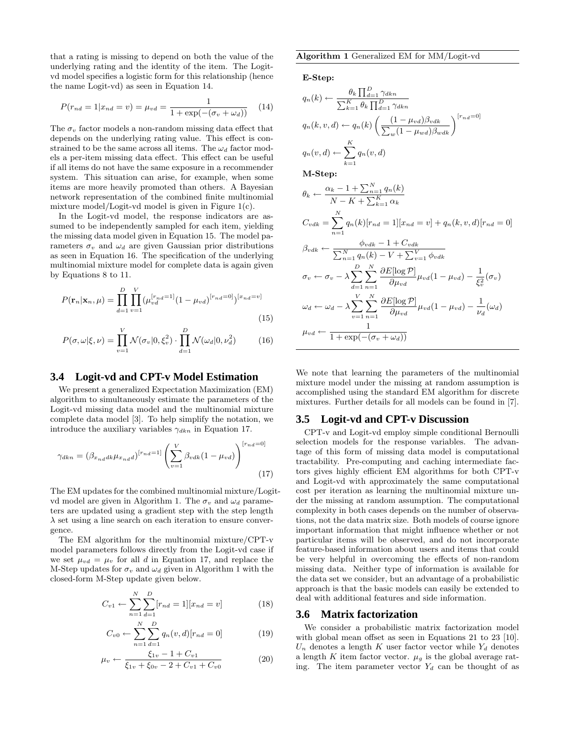that a rating is missing to depend on both the value of the underlying rating and the identity of the item. The Logitvd model specifies a logistic form for this relationship (hence the name Logit-vd) as seen in Equation 14.

$$
P(r_{nd} = 1 | x_{nd} = v) = \mu_{vd} = \frac{1}{1 + \exp(-(\sigma_v + \omega_d))}
$$
 (14)

The  $\sigma_v$  factor models a non-random missing data effect that depends on the underlying rating value. This effect is constrained to be the same across all items. The  $\omega_d$  factor models a per-item missing data effect. This effect can be useful if all items do not have the same exposure in a recommender system. This situation can arise, for example, when some items are more heavily promoted than others. A Bayesian network representation of the combined finite multinomial mixture model/Logit-vd model is given in Figure 1(c).

In the Logit-vd model, the response indicators are assumed to be independently sampled for each item, yielding the missing data model given in Equation 15. The model parameters  $\sigma_v$  and  $\omega_d$  are given Gaussian prior distributions as seen in Equation 16. The specification of the underlying multinomial mixture model for complete data is again given by Equations 8 to 11.

$$
P(\mathbf{r}_n|\mathbf{x}_n,\mu) = \prod_{d=1}^D \prod_{v=1}^V (\mu_{vd}^{[r_{nd}=1]}(1-\mu_{vd})^{[r_{nd}=0]})^{[x_{nd}=v]}
$$
(15)

$$
P(\sigma, \omega | \xi, \nu) = \prod_{v=1}^{V} \mathcal{N}(\sigma_v | 0, \xi_v^2) \cdot \prod_{d=1}^{D} \mathcal{N}(\omega_d | 0, \nu_d^2)
$$
(16)

#### **3.4 Logit-vd and CPT-v Model Estimation**

We present a generalized Expectation Maximization (EM) algorithm to simultaneously estimate the parameters of the Logit-vd missing data model and the multinomial mixture complete data model [3]. To help simplify the notation, we introduce the auxiliary variables  $\gamma_{dkn}$  in Equation 17.

$$
\gamma_{dkn} = (\beta_{x_{nd}dk} \mu_{x_{nd}d})^{[r_{nd}=1]} \left(\sum_{v=1}^{V} \beta_{vdk} (1 - \mu_{vd})\right)^{[r_{nd}=0]}
$$
\n(17)

The EM updates for the combined multinomial mixture/Logitvd model are given in Algorithm 1. The  $\sigma_v$  and  $\omega_d$  parameters are updated using a gradient step with the step length  $\lambda$  set using a line search on each iteration to ensure convergence.

The EM algorithm for the multinomial mixture/CPT-v model parameters follows directly from the Logit-vd case if we set  $\mu_{vd} = \mu_v$  for all d in Equation 17, and replace the M-Step updates for  $\sigma_v$  and  $\omega_d$  given in Algorithm 1 with the closed-form M-Step update given below.

$$
C_{v1} \leftarrow \sum_{n=1}^{N} \sum_{d=1}^{D} [r_{nd} = 1][x_{nd} = v]
$$
 (18)

$$
C_{v0} \leftarrow \sum_{n=1}^{N} \sum_{d=1}^{D} q_n(v, d) [r_{nd} = 0]
$$
 (19)

$$
\mu_v \leftarrow \frac{\xi_{1v} - 1 + C_{v1}}{\xi_{1v} + \xi_{0v} - 2 + C_{v1} + C_{v0}} \tag{20}
$$

#### Algorithm 1 Generalized EM for MM/Logit-vd

E-Step:

$$
q_n(k) \leftarrow \frac{\theta_k \prod_{d=1}^D \gamma_{dkn}}{\sum_{k=1}^K \theta_k \prod_{d=1}^D \gamma_{dkn}}
$$
  
\n
$$
q_n(k, v, d) \leftarrow q_n(k) \left( \frac{(1 - \mu_{vd})\beta_{vdk}}{\sum_{w} (1 - \mu_{wd})\beta_{wdk}} \right)^{[r_{nd} = 0]}
$$
  
\n
$$
q_n(v, d) \leftarrow \sum_{k=1}^K q_n(v, d)
$$
  
\nM-Step:

$$
\theta_k \leftarrow \frac{\alpha_k - 1 + \sum_{n=1}^N q_n(k)}{N - K + \sum_{k=1}^K \alpha_k}
$$
  
\n
$$
C_{vdk} = \sum_{n=1}^N q_n(k)[r_{nd} = 1][x_{nd} = v] + q_n(k, v, d)[r_{nd} = 0]
$$
  
\n
$$
\beta_{vdk} \leftarrow \frac{\phi_{vdk} - 1 + C_{vdk}}{\sum_{n=1}^N q_n(k) - V + \sum_{v=1}^V \phi_{vdk}}
$$
  
\n
$$
\sigma_v \leftarrow \sigma_v - \lambda \sum_{d=1}^D \sum_{n=1}^N \frac{\partial E[\log P]}{\partial \mu_{vd}} \mu_{vd} (1 - \mu_{vd}) - \frac{1}{\xi_v^2} (\sigma_v)
$$
  
\n
$$
\omega_d \leftarrow \omega_d - \lambda \sum_{v=1}^V \sum_{n=1}^N \frac{\partial E[\log P]}{\partial \mu_{vd}} \mu_{vd} (1 - \mu_{vd}) - \frac{1}{\nu_d} (\omega_d)
$$
  
\n
$$
\mu_{vd} \leftarrow \frac{1}{1 + \exp(-(\sigma_v + \omega_d))}
$$

We note that learning the parameters of the multinomial mixture model under the missing at random assumption is accomplished using the standard EM algorithm for discrete mixtures. Further details for all models can be found in [7].

#### **3.5 Logit-vd and CPT-v Discussion**

CPT-v and Logit-vd employ simple conditional Bernoulli selection models for the response variables. The advantage of this form of missing data model is computational tractability. Pre-computing and caching intermediate factors gives highly efficient EM algorithms for both CPT-v and Logit-vd with approximately the same computational cost per iteration as learning the multinomial mixture under the missing at random assumption. The computational complexity in both cases depends on the number of observations, not the data matrix size. Both models of course ignore important information that might influence whether or not particular items will be observed, and do not incorporate feature-based information about users and items that could be very helpful in overcoming the effects of non-random missing data. Neither type of information is available for the data set we consider, but an advantage of a probabilistic approach is that the basic models can easily be extended to deal with additional features and side information.

#### **3.6 Matrix factorization**

We consider a probabilistic matrix factorization model with global mean offset as seen in Equations 21 to 23 [10].  $U_n$  denotes a length K user factor vector while  $Y_d$  denotes a length K item factor vector.  $\mu_g$  is the global average rating. The item parameter vector  $Y_d$  can be thought of as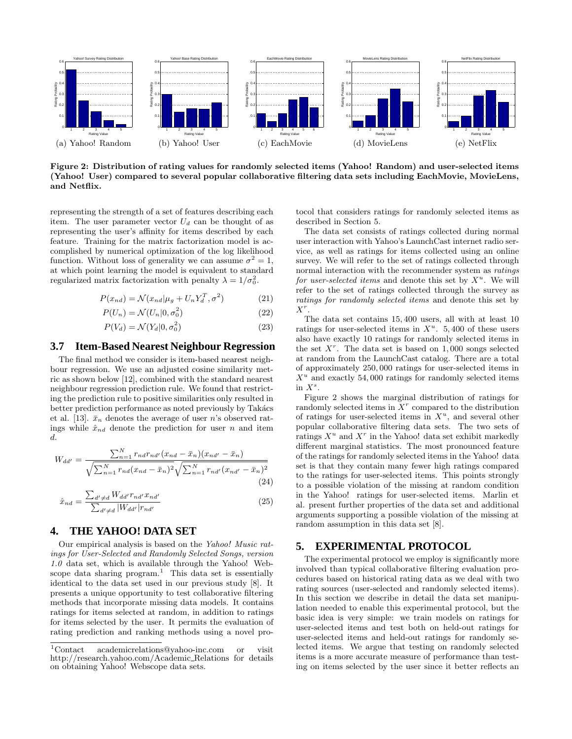

Figure 2: Distribution of rating values for randomly selected items (Yahoo! Random) and user-selected items (Yahoo! User) compared to several popular collaborative filtering data sets including EachMovie, MovieLens, and Netflix.

representing the strength of a set of features describing each item. The user parameter vector  $U_d$  can be thought of as representing the user's affinity for items described by each feature. Training for the matrix factorization model is accomplished by numerical optimization of the log likelihood function. Without loss of generality we can assume  $\sigma^2 = 1$ , at which point learning the model is equivalent to standard regularized matrix factorization with penalty  $\lambda = 1/\sigma_0^2$ .

$$
P(x_{nd}) = \mathcal{N}(x_{nd}|\mu_g + U_n Y_d^T, \sigma^2)
$$
 (21)

$$
P(U_n) = \mathcal{N}(U_n | 0, \sigma_0^2)
$$
\n<sup>(22)</sup>

$$
P(V_d) = \mathcal{N}(Y_d | 0, \sigma_0^2)
$$
\n(23)

## **3.7 Item-Based Nearest Neighbour Regression**

The final method we consider is item-based nearest neighbour regression. We use an adjusted cosine similarity metric as shown below [12], combined with the standard nearest neighbour regression prediction rule. We found that restricting the prediction rule to positive similarities only resulted in better prediction performance as noted previously by Takács et al. [13].  $\bar{x}_n$  denotes the average of user n's observed ratings while  $\hat{x}_{nd}$  denote the prediction for user n and item d.

$$
W_{dd'} = \frac{\sum_{n=1}^{N} r_{nd} r_{nd'} (x_{nd} - \bar{x}_n)(x_{nd'} - \bar{x}_n)}{\sqrt{\sum_{n=1}^{N} r_{nd} (x_{nd} - \bar{x}_n)^2} \sqrt{\sum_{n=1}^{N} r_{nd'} (x_{nd'} - \bar{x}_n)^2}}
$$
(24)

$$
\hat{x}_{nd} = \frac{\sum_{d' \neq d} W_{dd'} r_{nd'} x_{nd'}}{\sum_{d' \neq d} |W_{dd'}| r_{nd'}}
$$
\n(25)

#### **4. THE YAHOO! DATA SET**

Our empirical analysis is based on the Yahoo! Music ratings for User-Selected and Randomly Selected Songs, version 1.0 data set, which is available through the Yahoo! Webscope data sharing program.<sup>1</sup> This data set is essentially identical to the data set used in our previous study [8]. It presents a unique opportunity to test collaborative filtering methods that incorporate missing data models. It contains ratings for items selected at random, in addition to ratings for items selected by the user. It permits the evaluation of rating prediction and ranking methods using a novel protocol that considers ratings for randomly selected items as described in Section 5.

The data set consists of ratings collected during normal user interaction with Yahoo's LaunchCast internet radio service, as well as ratings for items collected using an online survey. We will refer to the set of ratings collected through normal interaction with the recommender system as ratings for user-selected items and denote this set by  $X^u$ . We will refer to the set of ratings collected through the survey as ratings for randomly selected items and denote this set by  $X^r$ .

The data set contains 15, 400 users, all with at least 10 ratings for user-selected items in  $X^u$ . 5,400 of these users also have exactly 10 ratings for randomly selected items in the set  $X^r$ . The data set is based on 1,000 songs selected at random from the LaunchCast catalog. There are a total of approximately 250, 000 ratings for user-selected items in  $X^u$  and exactly 54,000 ratings for randomly selected items in  $X^s$ .

Figure 2 shows the marginal distribution of ratings for randomly selected items in  $X<sup>r</sup>$  compared to the distribution of ratings for user-selected items in  $X^u$ , and several other popular collaborative filtering data sets. The two sets of ratings  $X^u$  and  $X^r$  in the Yahoo! data set exhibit markedly different marginal statistics. The most pronounced feature of the ratings for randomly selected items in the Yahoo! data set is that they contain many fewer high ratings compared to the ratings for user-selected items. This points strongly to a possible violation of the missing at random condition in the Yahoo! ratings for user-selected items. Marlin et al. present further properties of the data set and additional arguments supporting a possible violation of the missing at random assumption in this data set [8].

## **5. EXPERIMENTAL PROTOCOL**

The experimental protocol we employ is significantly more involved than typical collaborative filtering evaluation procedures based on historical rating data as we deal with two rating sources (user-selected and randomly selected items). In this section we describe in detail the data set manipulation needed to enable this experimental protocol, but the basic idea is very simple: we train models on ratings for user-selected items and test both on held-out ratings for user-selected items and held-out ratings for randomly selected items. We argue that testing on randomly selected items is a more accurate measure of performance than testing on items selected by the user since it better reflects an

<sup>1</sup>Contact academicrelations@yahoo-inc.com or visit http://research.yahoo.com/Academic Relations for details on obtaining Yahoo! Webscope data sets.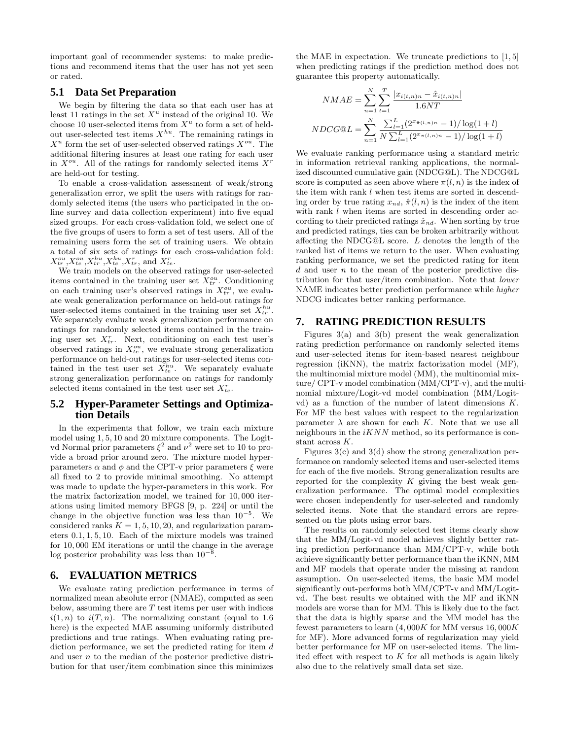important goal of recommender systems: to make predictions and recommend items that the user has not yet seen or rated.

### **5.1 Data Set Preparation**

We begin by filtering the data so that each user has at least 11 ratings in the set  $X^u$  instead of the original 10. We choose 10 user-selected items from  $X^u$  to form a set of heldout user-selected test items  $X^{hu}$ . The remaining ratings in  $X^u$  form the set of user-selected observed ratings  $X^{ou}$ . The additional filtering insures at least one rating for each user in  $X^{ou}$ . All of the ratings for randomly selected items  $X^r$ are held-out for testing.

To enable a cross-validation assessment of weak/strong generalization error, we split the users with ratings for randomly selected items (the users who participated in the online survey and data collection experiment) into five equal sized groups. For each cross-validation fold, we select one of the five groups of users to form a set of test users. All of the remaining users form the set of training users. We obtain a total of six sets of ratings for each cross-validation fold:  $X_{tr}^{ou}, X_{te}^{ou}, X_{tr}^{hu}, X_{te}^{hu}, X_{tr}^r$ , and  $X_{te}^r$ .

We train models on the observed ratings for user-selected items contained in the training user set  $X_{tr}^{ou}$ . Conditioning on each training user's observed ratings in  $X_{tr}^{ou}$ , we evaluate weak generalization performance on held-out ratings for user-selected items contained in the training user set  $X_{tr}^{hu}$ . We separately evaluate weak generalization performance on ratings for randomly selected items contained in the training user set  $X_{tr}^r$ . Next, conditioning on each test user's observed ratings in  $X_{te}^{ou}$ , we evaluate strong generalization performance on held-out ratings for user-selected items contained in the test user set  $X_{te}^{hu}$ . We separately evaluate strong generalization performance on ratings for randomly selected items contained in the test user set  $X_{te}^r$ .

### **5.2 Hyper-Parameter Settings and Optimization Details**

In the experiments that follow, we train each mixture model using 1, 5, 10 and 20 mixture components. The Logitvd Normal prior parameters  $\xi^2$  and  $\nu^2$  were set to 10 to provide a broad prior around zero. The mixture model hyperparameters  $\alpha$  and  $\phi$  and the CPT-v prior parameters  $\xi$  were all fixed to 2 to provide minimal smoothing. No attempt was made to update the hyper-parameters in this work. For the matrix factorization model, we trained for 10, 000 iterations using limited memory BFGS [9, p. 224] or until the change in the objective function was less than  $10^{-5}$ . We considered ranks  $K = 1, 5, 10, 20$ , and regularization parameters 0.1, 1, 5, 10. Each of the mixture models was trained for 10, 000 EM iterations or until the change in the average log posterior probability was less than  $10^{-8}$ .

## **6. EVALUATION METRICS**

We evaluate rating prediction performance in terms of normalized mean absolute error (NMAE), computed as seen below, assuming there are  $T$  test items per user with indices  $i(1, n)$  to  $i(T, n)$ . The normalizing constant (equal to 1.6) here) is the expected MAE assuming uniformly distributed predictions and true ratings. When evaluating rating prediction performance, we set the predicted rating for item  $d$ and user n to the median of the posterior predictive distribution for that user/item combination since this minimizes

the MAE in expectation. We truncate predictions to [1, 5] when predicting ratings if the prediction method does not guarantee this property automatically.

$$
NMAE = \sum_{n=1}^{N} \sum_{t=1}^{T} \frac{|x_{i(t,n)n} - \hat{x}_{i(t,n)n}|}{1.6NT}
$$

$$
NDCG@L = \sum_{n=1}^{N} \frac{\sum_{l=1}^{L} (2^{x_{\hat{\pi}}(l,n)n} - 1)/\log(1+l)}{N \sum_{l=1}^{L} (2^{x_{\hat{\pi}}(l,n)n} - 1)/\log(1+l)}
$$

We evaluate ranking performance using a standard metric in information retrieval ranking applications, the normalized discounted cumulative gain (NDCG@L). The NDCG@L score is computed as seen above where  $\pi(l, n)$  is the index of the item with rank l when test items are sorted in descending order by true rating  $x_{nd}$ ,  $\hat{\pi}(l, n)$  is the index of the item with rank  $l$  when items are sorted in descending order according to their predicted ratings  $\hat{x}_{nd}$ . When sorting by true and predicted ratings, ties can be broken arbitrarily without affecting the NDCG@L score. L denotes the length of the ranked list of items we return to the user. When evaluating ranking performance, we set the predicted rating for item  $d$  and user  $n$  to the mean of the posterior predictive distribution for that user/item combination. Note that lower NAME indicates better prediction performance while higher NDCG indicates better ranking performance.

### **7. RATING PREDICTION RESULTS**

Figures 3(a) and 3(b) present the weak generalization rating prediction performance on randomly selected items and user-selected items for item-based nearest neighbour regression (iKNN), the matrix factorization model (MF), the multinomial mixture model (MM), the multinomial mixture/ CPT-v model combination (MM/CPT-v), and the multinomial mixture/Logit-vd model combination (MM/Logitvd) as a function of the number of latent dimensions K. For MF the best values with respect to the regularization parameter  $\lambda$  are shown for each K. Note that we use all neighbours in the  $iKNN$  method, so its performance is constant across K.

Figures  $3(c)$  and  $3(d)$  show the strong generalization performance on randomly selected items and user-selected items for each of the five models. Strong generalization results are reported for the complexity  $K$  giving the best weak generalization performance. The optimal model complexities were chosen independently for user-selected and randomly selected items. Note that the standard errors are represented on the plots using error bars.

The results on randomly selected test items clearly show that the MM/Logit-vd model achieves slightly better rating prediction performance than MM/CPT-v, while both achieve significantly better performance than the iKNN, MM and MF models that operate under the missing at random assumption. On user-selected items, the basic MM model significantly out-performs both MM/CPT-v and MM/Logitvd. The best results we obtained with the MF and iKNN models are worse than for MM. This is likely due to the fact that the data is highly sparse and the MM model has the fewest parameters to learn  $(4,000K$  for MM versus  $16,000K$ for MF). More advanced forms of regularization may yield better performance for MF on user-selected items. The limited effect with respect to  $K$  for all methods is again likely also due to the relatively small data set size.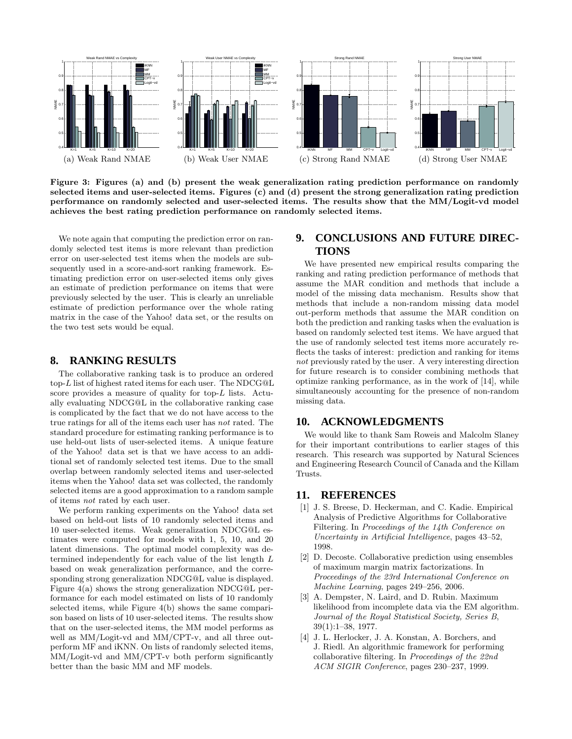

Figure 3: Figures (a) and (b) present the weak generalization rating prediction performance on randomly selected items and user-selected items. Figures (c) and (d) present the strong generalization rating prediction performance on randomly selected and user-selected items. The results show that the MM/Logit-vd model achieves the best rating prediction performance on randomly selected items.

We note again that computing the prediction error on randomly selected test items is more relevant than prediction error on user-selected test items when the models are subsequently used in a score-and-sort ranking framework. Estimating prediction error on user-selected items only gives an estimate of prediction performance on items that were previously selected by the user. This is clearly an unreliable estimate of prediction performance over the whole rating matrix in the case of the Yahoo! data set, or the results on the two test sets would be equal.

#### **8. RANKING RESULTS**

The collaborative ranking task is to produce an ordered top-L list of highest rated items for each user. The NDCG@L score provides a measure of quality for top-L lists. Actually evaluating NDCG@L in the collaborative ranking case is complicated by the fact that we do not have access to the true ratings for all of the items each user has not rated. The standard procedure for estimating ranking performance is to use held-out lists of user-selected items. A unique feature of the Yahoo! data set is that we have access to an additional set of randomly selected test items. Due to the small overlap between randomly selected items and user-selected items when the Yahoo! data set was collected, the randomly selected items are a good approximation to a random sample of items not rated by each user.

We perform ranking experiments on the Yahoo! data set based on held-out lists of 10 randomly selected items and 10 user-selected items. Weak generalization NDCG@L estimates were computed for models with 1, 5, 10, and 20 latent dimensions. The optimal model complexity was determined independently for each value of the list length L based on weak generalization performance, and the corresponding strong generalization NDCG@L value is displayed. Figure 4(a) shows the strong generalization NDCG@L performance for each model estimated on lists of 10 randomly selected items, while Figure 4(b) shows the same comparison based on lists of 10 user-selected items. The results show that on the user-selected items, the MM model performs as well as MM/Logit-vd and MM/CPT-v, and all three outperform MF and iKNN. On lists of randomly selected items, MM/Logit-vd and MM/CPT-v both perform significantly better than the basic MM and MF models.

## **9. CONCLUSIONS AND FUTURE DIREC-TIONS**

We have presented new empirical results comparing the ranking and rating prediction performance of methods that assume the MAR condition and methods that include a model of the missing data mechanism. Results show that methods that include a non-random missing data model out-perform methods that assume the MAR condition on both the prediction and ranking tasks when the evaluation is based on randomly selected test items. We have argued that the use of randomly selected test items more accurately reflects the tasks of interest: prediction and ranking for items not previously rated by the user. A very interesting direction for future research is to consider combining methods that optimize ranking performance, as in the work of [14], while simultaneously accounting for the presence of non-random missing data.

## **10. ACKNOWLEDGMENTS**

We would like to thank Sam Roweis and Malcolm Slaney for their important contributions to earlier stages of this research. This research was supported by Natural Sciences and Engineering Research Council of Canada and the Killam Trusts.

#### **11. REFERENCES**

- [1] J. S. Breese, D. Heckerman, and C. Kadie. Empirical Analysis of Predictive Algorithms for Collaborative Filtering. In Proceedings of the 14th Conference on Uncertainty in Artificial Intelligence, pages 43–52, 1998.
- [2] D. Decoste. Collaborative prediction using ensembles of maximum margin matrix factorizations. In Proceedings of the 23rd International Conference on Machine Learning, pages 249–256, 2006.
- [3] A. Dempster, N. Laird, and D. Rubin. Maximum likelihood from incomplete data via the EM algorithm. Journal of the Royal Statistical Society, Series B, 39(1):1–38, 1977.
- [4] J. L. Herlocker, J. A. Konstan, A. Borchers, and J. Riedl. An algorithmic framework for performing collaborative filtering. In Proceedings of the 22nd ACM SIGIR Conference, pages 230–237, 1999.